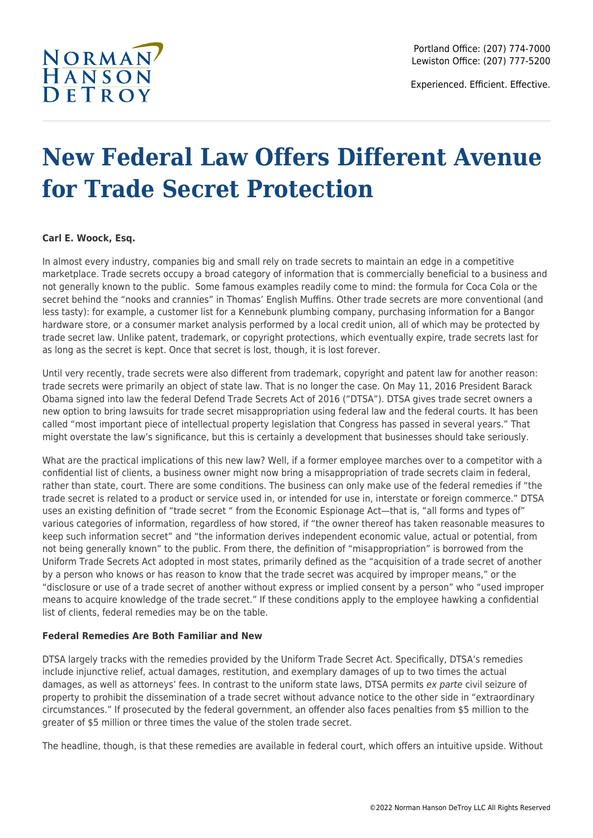

Experienced. Efficient. Effective.

### **New Federal Law Offers Different Avenue for Trade Secret Protection**

### **Carl E. Woock, Esq.**

In almost every industry, companies big and small rely on trade secrets to maintain an edge in a competitive marketplace. Trade secrets occupy a broad category of information that is commercially beneficial to a business and not generally known to the public. Some famous examples readily come to mind: the formula for Coca Cola or the secret behind the "nooks and crannies" in Thomas' English Muffins. Other trade secrets are more conventional (and less tasty): for example, a customer list for a Kennebunk plumbing company, purchasing information for a Bangor hardware store, or a consumer market analysis performed by a local credit union, all of which may be protected by trade secret law. Unlike patent, trademark, or copyright protections, which eventually expire, trade secrets last for as long as the secret is kept. Once that secret is lost, though, it is lost forever.

Until very recently, trade secrets were also different from trademark, copyright and patent law for another reason: trade secrets were primarily an object of state law. That is no longer the case. On May 11, 2016 President Barack Obama signed into law the federal Defend Trade Secrets Act of 2016 ("DTSA"). DTSA gives trade secret owners a new option to bring lawsuits for trade secret misappropriation using federal law and the federal courts. It has been called "most important piece of intellectual property legislation that Congress has passed in several years." That might overstate the law's significance, but this is certainly a development that businesses should take seriously.

What are the practical implications of this new law? Well, if a former employee marches over to a competitor with a confidential list of clients, a business owner might now bring a misappropriation of trade secrets claim in federal, rather than state, court. There are some conditions. The business can only make use of the federal remedies if "the trade secret is related to a product or service used in, or intended for use in, interstate or foreign commerce." DTSA uses an existing definition of "trade secret " from the Economic Espionage Act—that is, "all forms and types of" various categories of information, regardless of how stored, if "the owner thereof has taken reasonable measures to keep such information secret" and "the information derives independent economic value, actual or potential, from not being generally known" to the public. From there, the definition of "misappropriation" is borrowed from the Uniform Trade Secrets Act adopted in most states, primarily defined as the "acquisition of a trade secret of another by a person who knows or has reason to know that the trade secret was acquired by improper means," or the "disclosure or use of a trade secret of another without express or implied consent by a person" who "used improper means to acquire knowledge of the trade secret." If these conditions apply to the employee hawking a confidential list of clients, federal remedies may be on the table.

### **Federal Remedies Are Both Familiar and New**

DTSA largely tracks with the remedies provided by the Uniform Trade Secret Act. Specifically, DTSA's remedies include injunctive relief, actual damages, restitution, and exemplary damages of up to two times the actual damages, as well as attorneys' fees. In contrast to the uniform state laws, DTSA permits ex parte civil seizure of property to prohibit the dissemination of a trade secret without advance notice to the other side in "extraordinary circumstances." If prosecuted by the federal government, an offender also faces penalties from \$5 million to the greater of \$5 million or three times the value of the stolen trade secret.

The headline, though, is that these remedies are available in federal court, which offers an intuitive upside. Without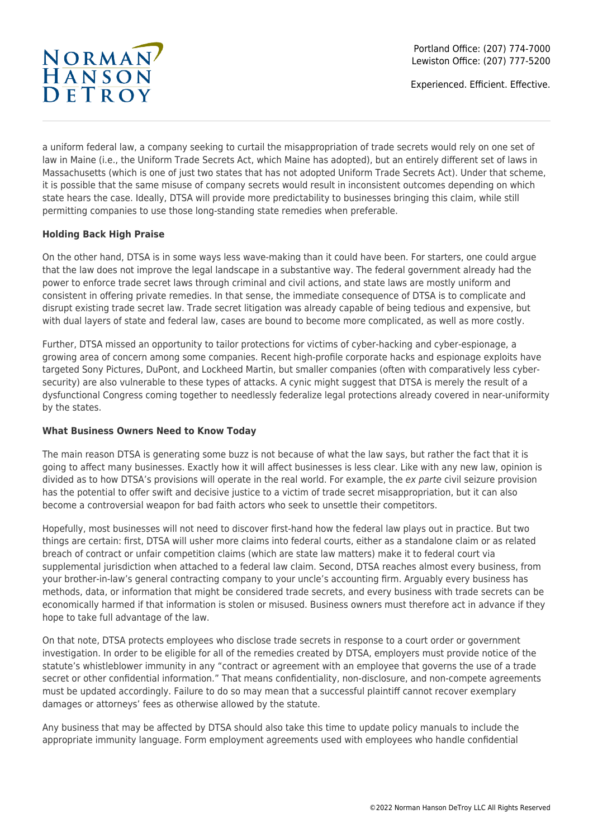## NORMAN<sub>T</sub>

Experienced. Efficient. Effective.

a uniform federal law, a company seeking to curtail the misappropriation of trade secrets would rely on one set of law in Maine (i.e., the Uniform Trade Secrets Act, which Maine has adopted), but an entirely different set of laws in Massachusetts (which is one of just two states that has not adopted Uniform Trade Secrets Act). Under that scheme, it is possible that the same misuse of company secrets would result in inconsistent outcomes depending on which state hears the case. Ideally, DTSA will provide more predictability to businesses bringing this claim, while still permitting companies to use those long-standing state remedies when preferable.

### **Holding Back High Praise**

On the other hand, DTSA is in some ways less wave-making than it could have been. For starters, one could argue that the law does not improve the legal landscape in a substantive way. The federal government already had the power to enforce trade secret laws through criminal and civil actions, and state laws are mostly uniform and consistent in offering private remedies. In that sense, the immediate consequence of DTSA is to complicate and disrupt existing trade secret law. Trade secret litigation was already capable of being tedious and expensive, but with dual layers of state and federal law, cases are bound to become more complicated, as well as more costly.

Further, DTSA missed an opportunity to tailor protections for victims of cyber-hacking and cyber-espionage, a growing area of concern among some companies. Recent high-profile corporate hacks and espionage exploits have targeted Sony Pictures, DuPont, and Lockheed Martin, but smaller companies (often with comparatively less cybersecurity) are also vulnerable to these types of attacks. A cynic might suggest that DTSA is merely the result of a dysfunctional Congress coming together to needlessly federalize legal protections already covered in near-uniformity by the states.

### **What Business Owners Need to Know Today**

The main reason DTSA is generating some buzz is not because of what the law says, but rather the fact that it is going to affect many businesses. Exactly how it will affect businesses is less clear. Like with any new law, opinion is divided as to how DTSA's provisions will operate in the real world. For example, the ex parte civil seizure provision has the potential to offer swift and decisive justice to a victim of trade secret misappropriation, but it can also become a controversial weapon for bad faith actors who seek to unsettle their competitors.

Hopefully, most businesses will not need to discover first-hand how the federal law plays out in practice. But two things are certain: first, DTSA will usher more claims into federal courts, either as a standalone claim or as related breach of contract or unfair competition claims (which are state law matters) make it to federal court via supplemental jurisdiction when attached to a federal law claim. Second, DTSA reaches almost every business, from your brother-in-law's general contracting company to your uncle's accounting firm. Arguably every business has methods, data, or information that might be considered trade secrets, and every business with trade secrets can be economically harmed if that information is stolen or misused. Business owners must therefore act in advance if they hope to take full advantage of the law.

On that note, DTSA protects employees who disclose trade secrets in response to a court order or government investigation. In order to be eligible for all of the remedies created by DTSA, employers must provide notice of the statute's whistleblower immunity in any "contract or agreement with an employee that governs the use of a trade secret or other confidential information." That means confidentiality, non-disclosure, and non-compete agreements must be updated accordingly. Failure to do so may mean that a successful plaintiff cannot recover exemplary damages or attorneys' fees as otherwise allowed by the statute.

Any business that may be affected by DTSA should also take this time to update policy manuals to include the appropriate immunity language. Form employment agreements used with employees who handle confidential